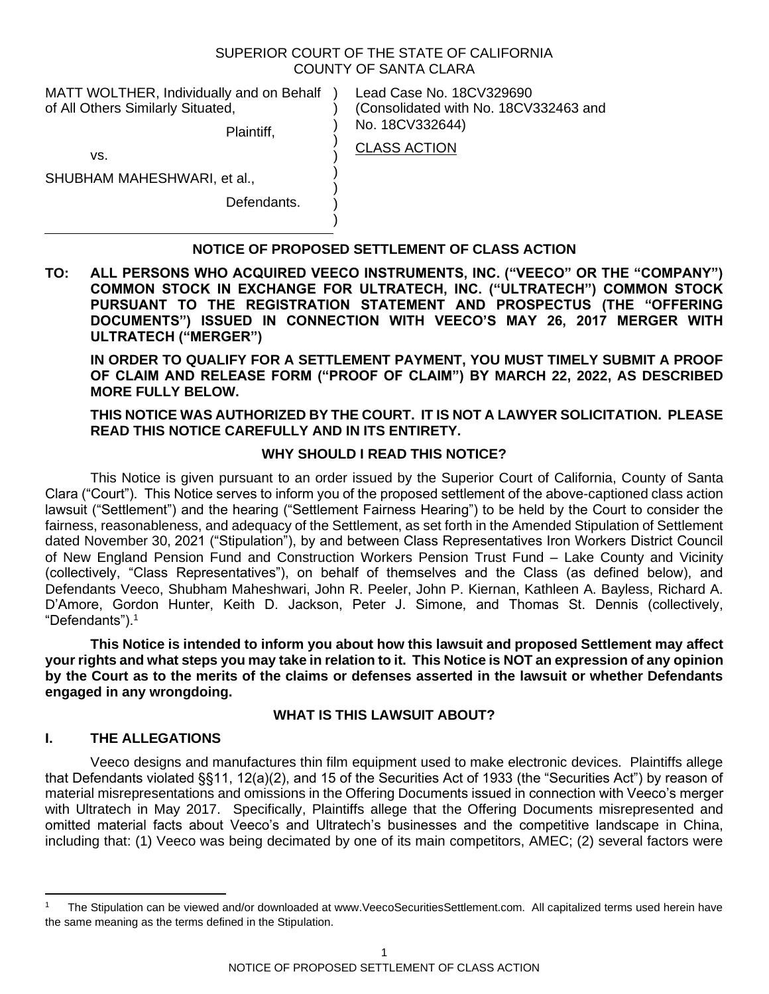## SUPERIOR COURT OF THE STATE OF CALIFORNIA COUNTY OF SANTA CLARA

CLASS ACTION

 $\lambda$ ) ) ) ) ) ) )

MATT WOLTHER, Individually and on Behalf ) of All Others Similarly Situated,

Plaintiff,

Lead Case No. 18CV329690 (Consolidated with No. 18CV332463 and No. 18CV332644)

vs.

SHUBHAM MAHESHWARI, et al.,

Defendants.

# **NOTICE OF PROPOSED SETTLEMENT OF CLASS ACTION**

**TO: ALL PERSONS WHO ACQUIRED VEECO INSTRUMENTS, INC. ("VEECO" OR THE "COMPANY") COMMON STOCK IN EXCHANGE FOR ULTRATECH, INC. ("ULTRATECH") COMMON STOCK PURSUANT TO THE REGISTRATION STATEMENT AND PROSPECTUS (THE "OFFERING DOCUMENTS") ISSUED IN CONNECTION WITH VEECO'S MAY 26, 2017 MERGER WITH ULTRATECH ("MERGER")**

**IN ORDER TO QUALIFY FOR A SETTLEMENT PAYMENT, YOU MUST TIMELY SUBMIT A PROOF OF CLAIM AND RELEASE FORM ("PROOF OF CLAIM") BY MARCH 22, 2022, AS DESCRIBED MORE FULLY BELOW.**

# **THIS NOTICE WAS AUTHORIZED BY THE COURT. IT IS NOT A LAWYER SOLICITATION. PLEASE READ THIS NOTICE CAREFULLY AND IN ITS ENTIRETY.**

# **WHY SHOULD I READ THIS NOTICE?**

This Notice is given pursuant to an order issued by the Superior Court of California, County of Santa Clara ("Court"). This Notice serves to inform you of the proposed settlement of the above-captioned class action lawsuit ("Settlement") and the hearing ("Settlement Fairness Hearing") to be held by the Court to consider the fairness, reasonableness, and adequacy of the Settlement, as set forth in the Amended Stipulation of Settlement dated November 30, 2021 ("Stipulation"), by and between Class Representatives Iron Workers District Council of New England Pension Fund and Construction Workers Pension Trust Fund – Lake County and Vicinity (collectively, "Class Representatives"), on behalf of themselves and the Class (as defined below), and Defendants Veeco, Shubham Maheshwari, John R. Peeler, John P. Kiernan, Kathleen A. Bayless, Richard A. D'Amore, Gordon Hunter, Keith D. Jackson, Peter J. Simone, and Thomas St. Dennis (collectively, "Defendants").<sup>1</sup>

**This Notice is intended to inform you about how this lawsuit and proposed Settlement may affect your rights and what steps you may take in relation to it. This Notice is NOT an expression of any opinion by the Court as to the merits of the claims or defenses asserted in the lawsuit or whether Defendants engaged in any wrongdoing.**

#### **WHAT IS THIS LAWSUIT ABOUT?**

# **I. THE ALLEGATIONS**

Veeco designs and manufactures thin film equipment used to make electronic devices. Plaintiffs allege that Defendants violated §§11, 12(a)(2), and 15 of the Securities Act of 1933 (the "Securities Act") by reason of material misrepresentations and omissions in the Offering Documents issued in connection with Veeco's merger with Ultratech in May 2017. Specifically, Plaintiffs allege that the Offering Documents misrepresented and omitted material facts about Veeco's and Ultratech's businesses and the competitive landscape in China, including that: (1) Veeco was being decimated by one of its main competitors, AMEC; (2) several factors were

<sup>1</sup> The Stipulation can be viewed and/or downloaded at www.VeecoSecuritiesSettlement.com. All capitalized terms used herein have the same meaning as the terms defined in the Stipulation.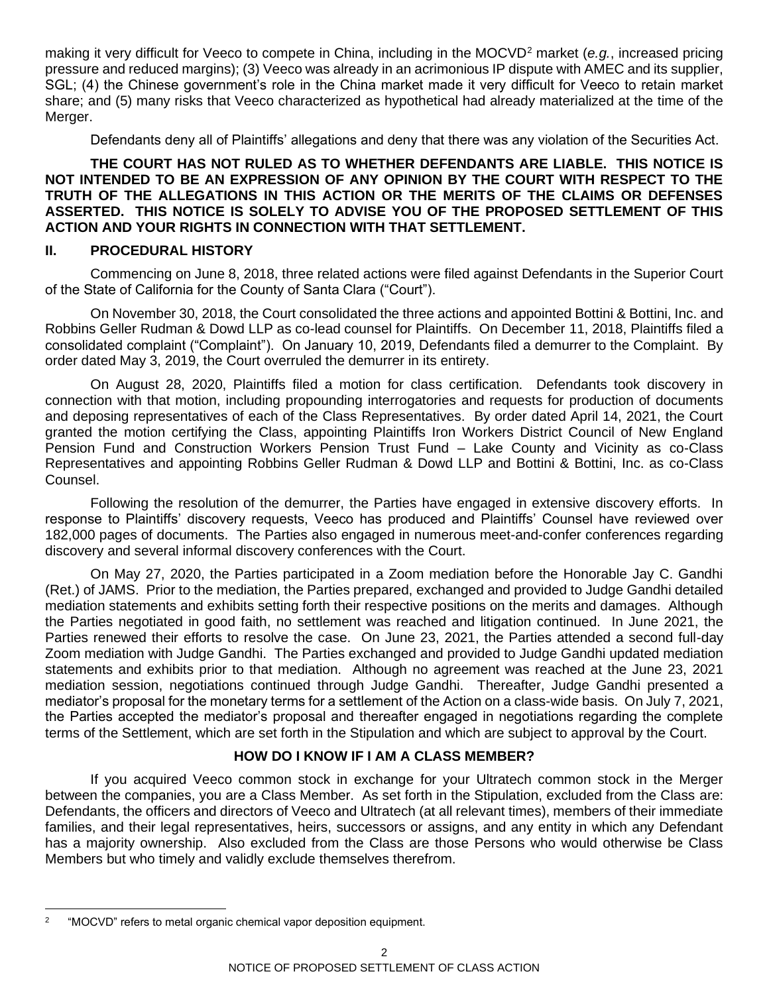making it very difficult for Veeco to compete in China, including in the MOCVD<sup>2</sup> market (*e.g.*, increased pricing pressure and reduced margins); (3) Veeco was already in an acrimonious IP dispute with AMEC and its supplier, SGL; (4) the Chinese government's role in the China market made it very difficult for Veeco to retain market share; and (5) many risks that Veeco characterized as hypothetical had already materialized at the time of the Merger.

Defendants deny all of Plaintiffs' allegations and deny that there was any violation of the Securities Act.

#### **THE COURT HAS NOT RULED AS TO WHETHER DEFENDANTS ARE LIABLE. THIS NOTICE IS NOT INTENDED TO BE AN EXPRESSION OF ANY OPINION BY THE COURT WITH RESPECT TO THE TRUTH OF THE ALLEGATIONS IN THIS ACTION OR THE MERITS OF THE CLAIMS OR DEFENSES ASSERTED. THIS NOTICE IS SOLELY TO ADVISE YOU OF THE PROPOSED SETTLEMENT OF THIS ACTION AND YOUR RIGHTS IN CONNECTION WITH THAT SETTLEMENT.**

# **II. PROCEDURAL HISTORY**

Commencing on June 8, 2018, three related actions were filed against Defendants in the Superior Court of the State of California for the County of Santa Clara ("Court").

On November 30, 2018, the Court consolidated the three actions and appointed Bottini & Bottini, Inc. and Robbins Geller Rudman & Dowd LLP as co-lead counsel for Plaintiffs. On December 11, 2018, Plaintiffs filed a consolidated complaint ("Complaint"). On January 10, 2019, Defendants filed a demurrer to the Complaint. By order dated May 3, 2019, the Court overruled the demurrer in its entirety.

On August 28, 2020, Plaintiffs filed a motion for class certification. Defendants took discovery in connection with that motion, including propounding interrogatories and requests for production of documents and deposing representatives of each of the Class Representatives. By order dated April 14, 2021, the Court granted the motion certifying the Class, appointing Plaintiffs Iron Workers District Council of New England Pension Fund and Construction Workers Pension Trust Fund – Lake County and Vicinity as co-Class Representatives and appointing Robbins Geller Rudman & Dowd LLP and Bottini & Bottini, Inc. as co-Class Counsel.

Following the resolution of the demurrer, the Parties have engaged in extensive discovery efforts. In response to Plaintiffs' discovery requests, Veeco has produced and Plaintiffs' Counsel have reviewed over 182,000 pages of documents. The Parties also engaged in numerous meet-and-confer conferences regarding discovery and several informal discovery conferences with the Court.

On May 27, 2020, the Parties participated in a Zoom mediation before the Honorable Jay C. Gandhi (Ret.) of JAMS. Prior to the mediation, the Parties prepared, exchanged and provided to Judge Gandhi detailed mediation statements and exhibits setting forth their respective positions on the merits and damages. Although the Parties negotiated in good faith, no settlement was reached and litigation continued. In June 2021, the Parties renewed their efforts to resolve the case. On June 23, 2021, the Parties attended a second full-day Zoom mediation with Judge Gandhi. The Parties exchanged and provided to Judge Gandhi updated mediation statements and exhibits prior to that mediation. Although no agreement was reached at the June 23, 2021 mediation session, negotiations continued through Judge Gandhi. Thereafter, Judge Gandhi presented a mediator's proposal for the monetary terms for a settlement of the Action on a class-wide basis. On July 7, 2021, the Parties accepted the mediator's proposal and thereafter engaged in negotiations regarding the complete terms of the Settlement, which are set forth in the Stipulation and which are subject to approval by the Court.

# **HOW DO I KNOW IF I AM A CLASS MEMBER?**

If you acquired Veeco common stock in exchange for your Ultratech common stock in the Merger between the companies, you are a Class Member. As set forth in the Stipulation, excluded from the Class are: Defendants, the officers and directors of Veeco and Ultratech (at all relevant times), members of their immediate families, and their legal representatives, heirs, successors or assigns, and any entity in which any Defendant has a majority ownership. Also excluded from the Class are those Persons who would otherwise be Class Members but who timely and validly exclude themselves therefrom.

<sup>2</sup> "MOCVD" refers to metal organic chemical vapor deposition equipment.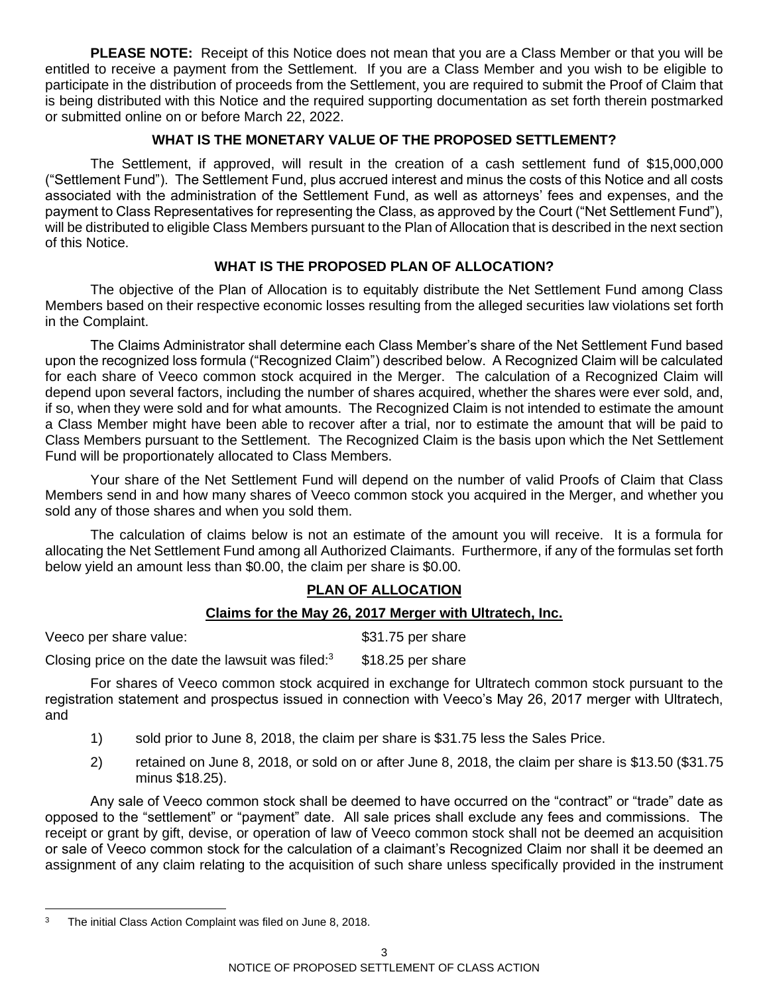**PLEASE NOTE:** Receipt of this Notice does not mean that you are a Class Member or that you will be entitled to receive a payment from the Settlement. If you are a Class Member and you wish to be eligible to participate in the distribution of proceeds from the Settlement, you are required to submit the Proof of Claim that is being distributed with this Notice and the required supporting documentation as set forth therein postmarked or submitted online on or before March 22, 2022.

# **WHAT IS THE MONETARY VALUE OF THE PROPOSED SETTLEMENT?**

The Settlement, if approved, will result in the creation of a cash settlement fund of \$15,000,000 ("Settlement Fund"). The Settlement Fund, plus accrued interest and minus the costs of this Notice and all costs associated with the administration of the Settlement Fund, as well as attorneys' fees and expenses, and the payment to Class Representatives for representing the Class, as approved by the Court ("Net Settlement Fund"), will be distributed to eligible Class Members pursuant to the Plan of Allocation that is described in the next section of this Notice.

# **WHAT IS THE PROPOSED PLAN OF ALLOCATION?**

The objective of the Plan of Allocation is to equitably distribute the Net Settlement Fund among Class Members based on their respective economic losses resulting from the alleged securities law violations set forth in the Complaint.

The Claims Administrator shall determine each Class Member's share of the Net Settlement Fund based upon the recognized loss formula ("Recognized Claim") described below. A Recognized Claim will be calculated for each share of Veeco common stock acquired in the Merger. The calculation of a Recognized Claim will depend upon several factors, including the number of shares acquired, whether the shares were ever sold, and, if so, when they were sold and for what amounts. The Recognized Claim is not intended to estimate the amount a Class Member might have been able to recover after a trial, nor to estimate the amount that will be paid to Class Members pursuant to the Settlement. The Recognized Claim is the basis upon which the Net Settlement Fund will be proportionately allocated to Class Members.

Your share of the Net Settlement Fund will depend on the number of valid Proofs of Claim that Class Members send in and how many shares of Veeco common stock you acquired in the Merger, and whether you sold any of those shares and when you sold them.

The calculation of claims below is not an estimate of the amount you will receive. It is a formula for allocating the Net Settlement Fund among all Authorized Claimants. Furthermore, if any of the formulas set forth below yield an amount less than \$0.00, the claim per share is \$0.00.

# **PLAN OF ALLOCATION**

# **Claims for the May 26, 2017 Merger with Ultratech, Inc.**

Veeco per share value:  $$31.75$  per share

Closing price on the date the lawsuit was filed: $3$  \$18.25 per share

For shares of Veeco common stock acquired in exchange for Ultratech common stock pursuant to the registration statement and prospectus issued in connection with Veeco's May 26, 2017 merger with Ultratech, and

- 1) sold prior to June 8, 2018, the claim per share is \$31.75 less the Sales Price.
- 2) retained on June 8, 2018, or sold on or after June 8, 2018, the claim per share is \$13.50 (\$31.75 minus \$18.25).

Any sale of Veeco common stock shall be deemed to have occurred on the "contract" or "trade" date as opposed to the "settlement" or "payment" date. All sale prices shall exclude any fees and commissions. The receipt or grant by gift, devise, or operation of law of Veeco common stock shall not be deemed an acquisition or sale of Veeco common stock for the calculation of a claimant's Recognized Claim nor shall it be deemed an assignment of any claim relating to the acquisition of such share unless specifically provided in the instrument

<sup>&</sup>lt;sup>3</sup> The initial Class Action Complaint was filed on June 8, 2018.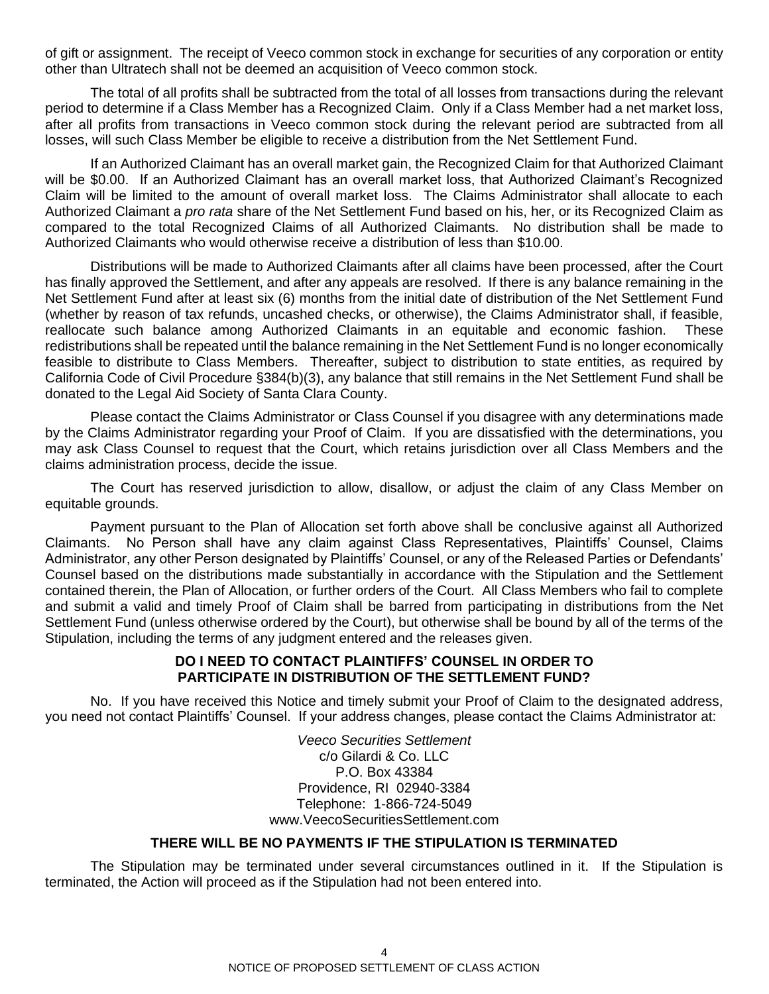of gift or assignment. The receipt of Veeco common stock in exchange for securities of any corporation or entity other than Ultratech shall not be deemed an acquisition of Veeco common stock.

The total of all profits shall be subtracted from the total of all losses from transactions during the relevant period to determine if a Class Member has a Recognized Claim. Only if a Class Member had a net market loss, after all profits from transactions in Veeco common stock during the relevant period are subtracted from all losses, will such Class Member be eligible to receive a distribution from the Net Settlement Fund.

If an Authorized Claimant has an overall market gain, the Recognized Claim for that Authorized Claimant will be \$0.00. If an Authorized Claimant has an overall market loss, that Authorized Claimant's Recognized Claim will be limited to the amount of overall market loss. The Claims Administrator shall allocate to each Authorized Claimant a *pro rata* share of the Net Settlement Fund based on his, her, or its Recognized Claim as compared to the total Recognized Claims of all Authorized Claimants. No distribution shall be made to Authorized Claimants who would otherwise receive a distribution of less than \$10.00.

Distributions will be made to Authorized Claimants after all claims have been processed, after the Court has finally approved the Settlement, and after any appeals are resolved. If there is any balance remaining in the Net Settlement Fund after at least six (6) months from the initial date of distribution of the Net Settlement Fund (whether by reason of tax refunds, uncashed checks, or otherwise), the Claims Administrator shall, if feasible, reallocate such balance among Authorized Claimants in an equitable and economic fashion. These redistributions shall be repeated until the balance remaining in the Net Settlement Fund is no longer economically feasible to distribute to Class Members. Thereafter, subject to distribution to state entities, as required by California Code of Civil Procedure §384(b)(3), any balance that still remains in the Net Settlement Fund shall be donated to the Legal Aid Society of Santa Clara County.

Please contact the Claims Administrator or Class Counsel if you disagree with any determinations made by the Claims Administrator regarding your Proof of Claim. If you are dissatisfied with the determinations, you may ask Class Counsel to request that the Court, which retains jurisdiction over all Class Members and the claims administration process, decide the issue.

The Court has reserved jurisdiction to allow, disallow, or adjust the claim of any Class Member on equitable grounds.

Payment pursuant to the Plan of Allocation set forth above shall be conclusive against all Authorized Claimants. No Person shall have any claim against Class Representatives, Plaintiffs' Counsel, Claims Administrator, any other Person designated by Plaintiffs' Counsel, or any of the Released Parties or Defendants' Counsel based on the distributions made substantially in accordance with the Stipulation and the Settlement contained therein, the Plan of Allocation, or further orders of the Court. All Class Members who fail to complete and submit a valid and timely Proof of Claim shall be barred from participating in distributions from the Net Settlement Fund (unless otherwise ordered by the Court), but otherwise shall be bound by all of the terms of the Stipulation, including the terms of any judgment entered and the releases given.

#### **DO I NEED TO CONTACT PLAINTIFFS' COUNSEL IN ORDER TO PARTICIPATE IN DISTRIBUTION OF THE SETTLEMENT FUND?**

No. If you have received this Notice and timely submit your Proof of Claim to the designated address, you need not contact Plaintiffs' Counsel. If your address changes, please contact the Claims Administrator at:

> *Veeco Securities Settlement* c/o Gilardi & Co. LLC P.O. Box 43384 Providence, RI 02940-3384 Telephone: 1-866-724-5049 www.VeecoSecuritiesSettlement.com

# **THERE WILL BE NO PAYMENTS IF THE STIPULATION IS TERMINATED**

The Stipulation may be terminated under several circumstances outlined in it. If the Stipulation is terminated, the Action will proceed as if the Stipulation had not been entered into.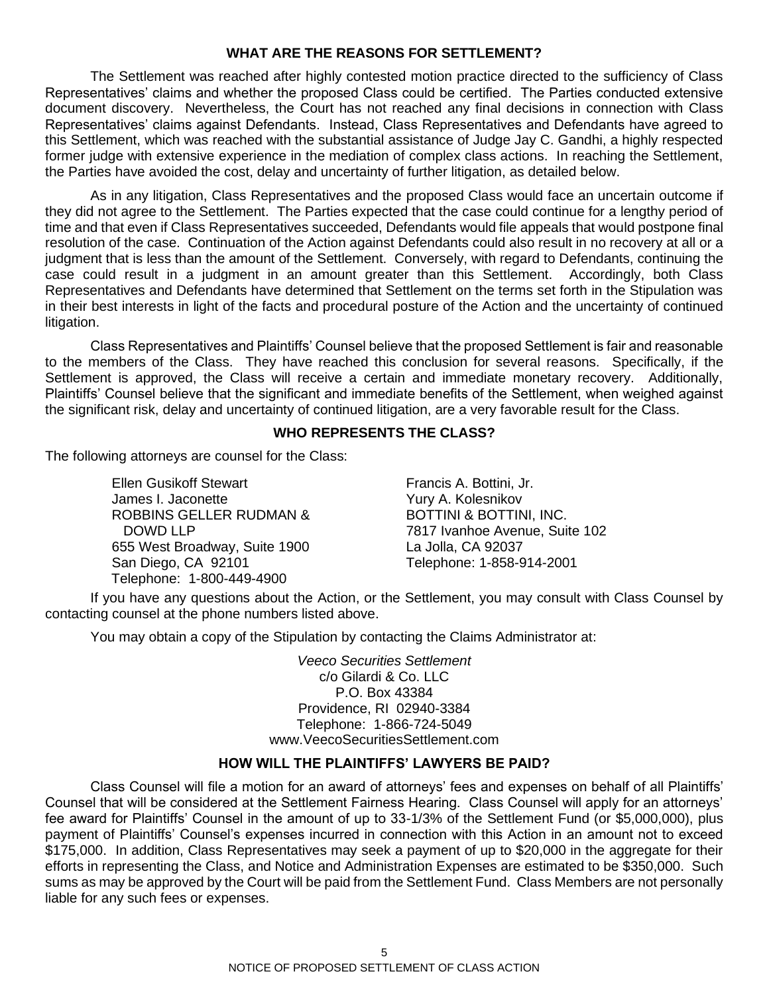#### **WHAT ARE THE REASONS FOR SETTLEMENT?**

The Settlement was reached after highly contested motion practice directed to the sufficiency of Class Representatives' claims and whether the proposed Class could be certified. The Parties conducted extensive document discovery. Nevertheless, the Court has not reached any final decisions in connection with Class Representatives' claims against Defendants. Instead, Class Representatives and Defendants have agreed to this Settlement, which was reached with the substantial assistance of Judge Jay C. Gandhi, a highly respected former judge with extensive experience in the mediation of complex class actions. In reaching the Settlement, the Parties have avoided the cost, delay and uncertainty of further litigation, as detailed below.

As in any litigation, Class Representatives and the proposed Class would face an uncertain outcome if they did not agree to the Settlement. The Parties expected that the case could continue for a lengthy period of time and that even if Class Representatives succeeded, Defendants would file appeals that would postpone final resolution of the case. Continuation of the Action against Defendants could also result in no recovery at all or a judgment that is less than the amount of the Settlement. Conversely, with regard to Defendants, continuing the case could result in a judgment in an amount greater than this Settlement. Accordingly, both Class Representatives and Defendants have determined that Settlement on the terms set forth in the Stipulation was in their best interests in light of the facts and procedural posture of the Action and the uncertainty of continued litigation.

Class Representatives and Plaintiffs' Counsel believe that the proposed Settlement is fair and reasonable to the members of the Class. They have reached this conclusion for several reasons. Specifically, if the Settlement is approved, the Class will receive a certain and immediate monetary recovery. Additionally, Plaintiffs' Counsel believe that the significant and immediate benefits of the Settlement, when weighed against the significant risk, delay and uncertainty of continued litigation, are a very favorable result for the Class.

#### **WHO REPRESENTS THE CLASS?**

The following attorneys are counsel for the Class:

Ellen Gusikoff Stewart James I. Jaconette ROBBINS GELLER RUDMAN & DOWD LLP 655 West Broadway, Suite 1900 San Diego, CA 92101 Telephone: 1-800-449-4900

Francis A. Bottini, Jr. Yury A. Kolesnikov BOTTINI & BOTTINI, INC. 7817 Ivanhoe Avenue, Suite 102 La Jolla, CA 92037 Telephone: 1-858-914-2001

If you have any questions about the Action, or the Settlement, you may consult with Class Counsel by contacting counsel at the phone numbers listed above.

You may obtain a copy of the Stipulation by contacting the Claims Administrator at:

*Veeco Securities Settlement* c/o Gilardi & Co. LLC P.O. Box 43384 Providence, RI 02940-3384 Telephone: 1-866-724-5049 www.VeecoSecuritiesSettlement.com

# **HOW WILL THE PLAINTIFFS' LAWYERS BE PAID?**

Class Counsel will file a motion for an award of attorneys' fees and expenses on behalf of all Plaintiffs' Counsel that will be considered at the Settlement Fairness Hearing. Class Counsel will apply for an attorneys' fee award for Plaintiffs' Counsel in the amount of up to 33-1/3% of the Settlement Fund (or \$5,000,000), plus payment of Plaintiffs' Counsel's expenses incurred in connection with this Action in an amount not to exceed \$175,000. In addition, Class Representatives may seek a payment of up to \$20,000 in the aggregate for their efforts in representing the Class, and Notice and Administration Expenses are estimated to be \$350,000. Such sums as may be approved by the Court will be paid from the Settlement Fund. Class Members are not personally liable for any such fees or expenses.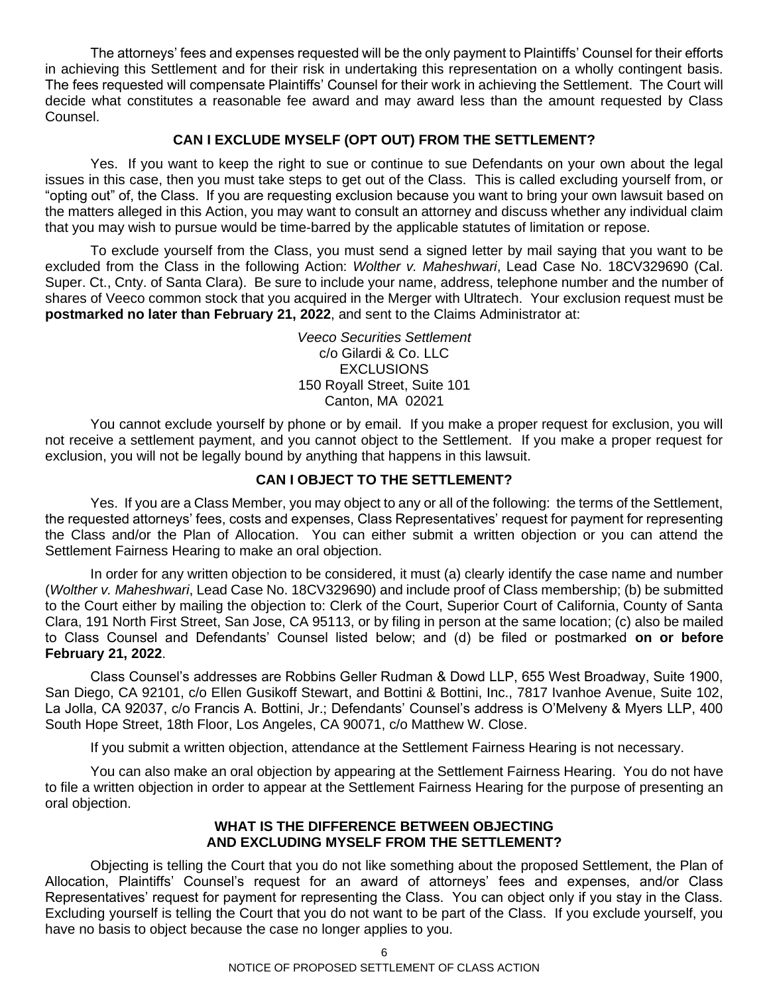The attorneys' fees and expenses requested will be the only payment to Plaintiffs' Counsel for their efforts in achieving this Settlement and for their risk in undertaking this representation on a wholly contingent basis. The fees requested will compensate Plaintiffs' Counsel for their work in achieving the Settlement. The Court will decide what constitutes a reasonable fee award and may award less than the amount requested by Class Counsel.

# **CAN I EXCLUDE MYSELF (OPT OUT) FROM THE SETTLEMENT?**

Yes. If you want to keep the right to sue or continue to sue Defendants on your own about the legal issues in this case, then you must take steps to get out of the Class. This is called excluding yourself from, or "opting out" of, the Class. If you are requesting exclusion because you want to bring your own lawsuit based on the matters alleged in this Action, you may want to consult an attorney and discuss whether any individual claim that you may wish to pursue would be time-barred by the applicable statutes of limitation or repose.

To exclude yourself from the Class, you must send a signed letter by mail saying that you want to be excluded from the Class in the following Action: *Wolther v. Maheshwari*, Lead Case No. 18CV329690 (Cal. Super. Ct., Cnty. of Santa Clara). Be sure to include your name, address, telephone number and the number of shares of Veeco common stock that you acquired in the Merger with Ultratech. Your exclusion request must be **postmarked no later than February 21, 2022**, and sent to the Claims Administrator at:

> *Veeco Securities Settlement* c/o Gilardi & Co. LLC **EXCLUSIONS** 150 Royall Street, Suite 101 Canton, MA 02021

You cannot exclude yourself by phone or by email. If you make a proper request for exclusion, you will not receive a settlement payment, and you cannot object to the Settlement. If you make a proper request for exclusion, you will not be legally bound by anything that happens in this lawsuit.

# **CAN I OBJECT TO THE SETTLEMENT?**

Yes. If you are a Class Member, you may object to any or all of the following: the terms of the Settlement, the requested attorneys' fees, costs and expenses, Class Representatives' request for payment for representing the Class and/or the Plan of Allocation. You can either submit a written objection or you can attend the Settlement Fairness Hearing to make an oral objection.

In order for any written objection to be considered, it must (a) clearly identify the case name and number (*Wolther v. Maheshwari*, Lead Case No. 18CV329690) and include proof of Class membership; (b) be submitted to the Court either by mailing the objection to: Clerk of the Court, Superior Court of California, County of Santa Clara, 191 North First Street, San Jose, CA 95113, or by filing in person at the same location; (c) also be mailed to Class Counsel and Defendants' Counsel listed below; and (d) be filed or postmarked **on or before February 21, 2022**.

Class Counsel's addresses are Robbins Geller Rudman & Dowd LLP, 655 West Broadway, Suite 1900, San Diego, CA 92101, c/o Ellen Gusikoff Stewart, and Bottini & Bottini, Inc., 7817 Ivanhoe Avenue, Suite 102, La Jolla, CA 92037, c/o Francis A. Bottini, Jr.; Defendants' Counsel's address is O'Melveny & Myers LLP, 400 South Hope Street, 18th Floor, Los Angeles, CA 90071, c/o Matthew W. Close.

If you submit a written objection, attendance at the Settlement Fairness Hearing is not necessary.

You can also make an oral objection by appearing at the Settlement Fairness Hearing. You do not have to file a written objection in order to appear at the Settlement Fairness Hearing for the purpose of presenting an oral objection.

# **WHAT IS THE DIFFERENCE BETWEEN OBJECTING AND EXCLUDING MYSELF FROM THE SETTLEMENT?**

Objecting is telling the Court that you do not like something about the proposed Settlement, the Plan of Allocation, Plaintiffs' Counsel's request for an award of attorneys' fees and expenses, and/or Class Representatives' request for payment for representing the Class. You can object only if you stay in the Class. Excluding yourself is telling the Court that you do not want to be part of the Class. If you exclude yourself, you have no basis to object because the case no longer applies to you.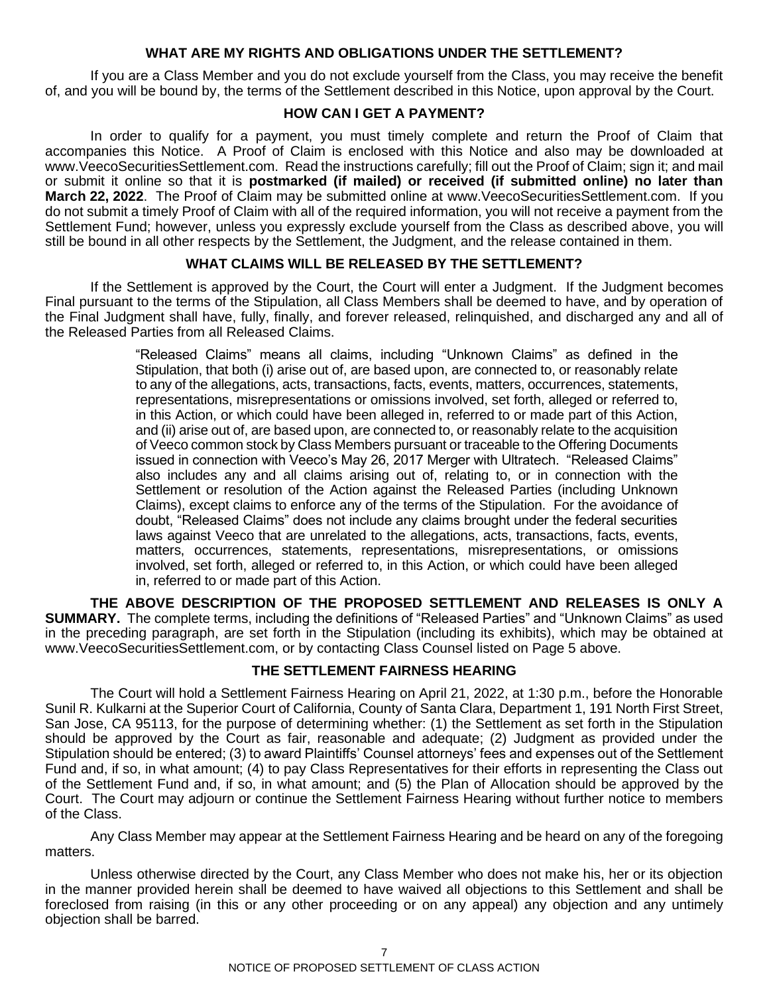#### **WHAT ARE MY RIGHTS AND OBLIGATIONS UNDER THE SETTLEMENT?**

If you are a Class Member and you do not exclude yourself from the Class, you may receive the benefit of, and you will be bound by, the terms of the Settlement described in this Notice, upon approval by the Court.

#### **HOW CAN I GET A PAYMENT?**

In order to qualify for a payment, you must timely complete and return the Proof of Claim that accompanies this Notice. A Proof of Claim is enclosed with this Notice and also may be downloaded at www.VeecoSecuritiesSettlement.com. Read the instructions carefully; fill out the Proof of Claim; sign it; and mail or submit it online so that it is **postmarked (if mailed) or received (if submitted online) no later than March 22, 2022**. The Proof of Claim may be submitted online at www.VeecoSecuritiesSettlement.com. If you do not submit a timely Proof of Claim with all of the required information, you will not receive a payment from the Settlement Fund; however, unless you expressly exclude yourself from the Class as described above, you will still be bound in all other respects by the Settlement, the Judgment, and the release contained in them.

## **WHAT CLAIMS WILL BE RELEASED BY THE SETTLEMENT?**

If the Settlement is approved by the Court, the Court will enter a Judgment. If the Judgment becomes Final pursuant to the terms of the Stipulation, all Class Members shall be deemed to have, and by operation of the Final Judgment shall have, fully, finally, and forever released, relinquished, and discharged any and all of the Released Parties from all Released Claims.

> "Released Claims" means all claims, including "Unknown Claims" as defined in the Stipulation, that both (i) arise out of, are based upon, are connected to, or reasonably relate to any of the allegations, acts, transactions, facts, events, matters, occurrences, statements, representations, misrepresentations or omissions involved, set forth, alleged or referred to, in this Action, or which could have been alleged in, referred to or made part of this Action, and (ii) arise out of, are based upon, are connected to, or reasonably relate to the acquisition of Veeco common stock by Class Members pursuant or traceable to the Offering Documents issued in connection with Veeco's May 26, 2017 Merger with Ultratech. "Released Claims" also includes any and all claims arising out of, relating to, or in connection with the Settlement or resolution of the Action against the Released Parties (including Unknown Claims), except claims to enforce any of the terms of the Stipulation. For the avoidance of doubt, "Released Claims" does not include any claims brought under the federal securities laws against Veeco that are unrelated to the allegations, acts, transactions, facts, events, matters, occurrences, statements, representations, misrepresentations, or omissions involved, set forth, alleged or referred to, in this Action, or which could have been alleged in, referred to or made part of this Action.

**THE ABOVE DESCRIPTION OF THE PROPOSED SETTLEMENT AND RELEASES IS ONLY A SUMMARY.** The complete terms, including the definitions of "Released Parties" and "Unknown Claims" as used in the preceding paragraph, are set forth in the Stipulation (including its exhibits), which may be obtained at www.VeecoSecuritiesSettlement.com, or by contacting Class Counsel listed on Page 5 above.

# **THE SETTLEMENT FAIRNESS HEARING**

The Court will hold a Settlement Fairness Hearing on April 21, 2022, at 1:30 p.m., before the Honorable Sunil R. Kulkarni at the Superior Court of California, County of Santa Clara, Department 1, 191 North First Street, San Jose, CA 95113, for the purpose of determining whether: (1) the Settlement as set forth in the Stipulation should be approved by the Court as fair, reasonable and adequate; (2) Judgment as provided under the Stipulation should be entered; (3) to award Plaintiffs' Counsel attorneys' fees and expenses out of the Settlement Fund and, if so, in what amount; (4) to pay Class Representatives for their efforts in representing the Class out of the Settlement Fund and, if so, in what amount; and (5) the Plan of Allocation should be approved by the Court. The Court may adjourn or continue the Settlement Fairness Hearing without further notice to members of the Class.

Any Class Member may appear at the Settlement Fairness Hearing and be heard on any of the foregoing matters.

Unless otherwise directed by the Court, any Class Member who does not make his, her or its objection in the manner provided herein shall be deemed to have waived all objections to this Settlement and shall be foreclosed from raising (in this or any other proceeding or on any appeal) any objection and any untimely objection shall be barred.